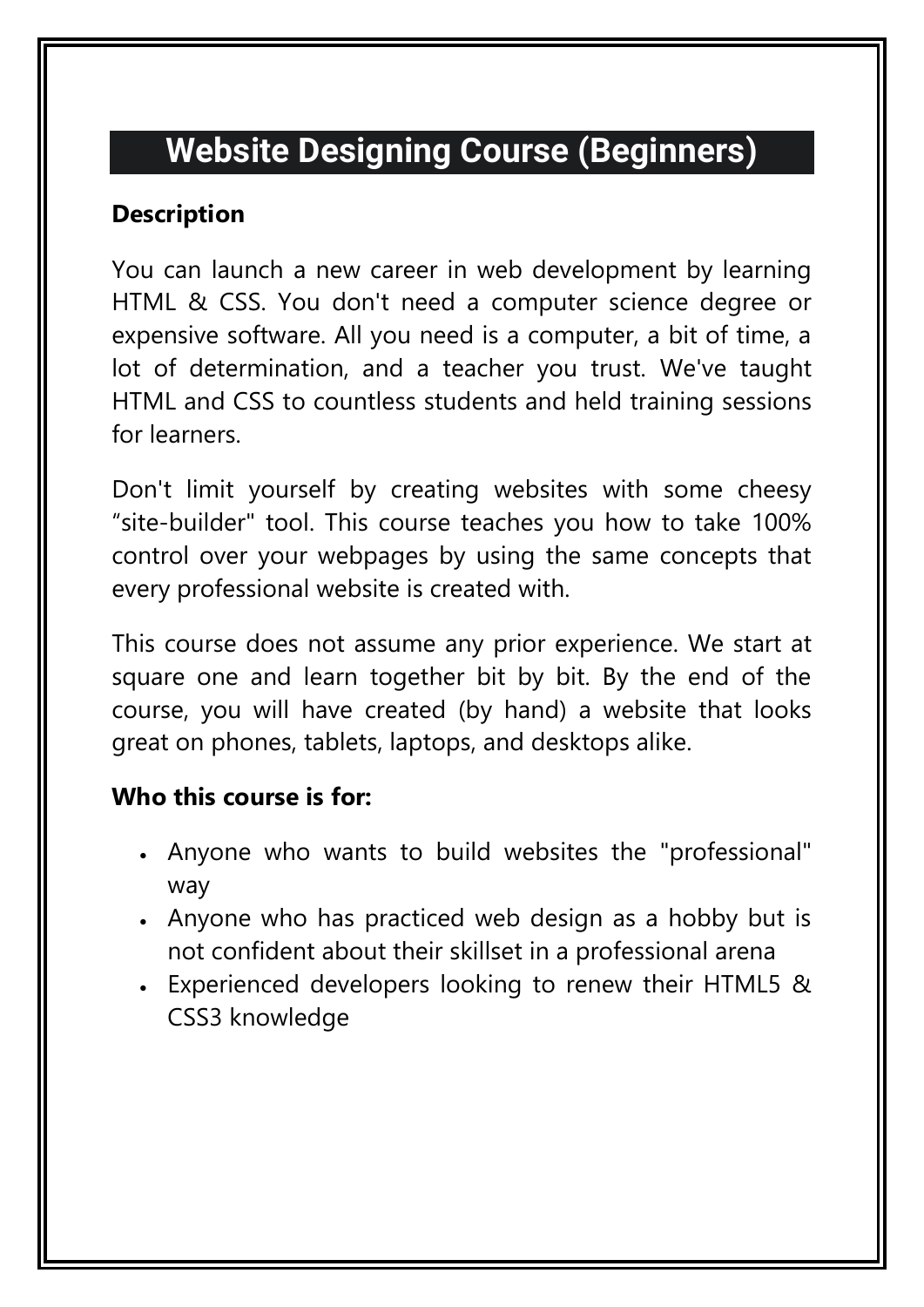# **Website Designing Course (Beginners)**

#### **Description**

You can launch a new career in web development by learning HTML & CSS. You don't need a computer science degree or expensive software. All you need is a computer, a bit of time, a lot of determination, and a teacher you trust. We've taught HTML and CSS to countless students and held training sessions for learners.

Don't limit yourself by creating websites with some cheesy "site-builder" tool. This course teaches you how to take 100% control over your webpages by using the same concepts that every professional website is created with.

This course does not assume any prior experience. We start at square one and learn together bit by bit. By the end of the course, you will have created (by hand) a website that looks great on phones, tablets, laptops, and desktops alike.

### **Who this course is for:**

- Anyone who wants to build websites the "professional" way
- Anyone who has practiced web design as a hobby but is not confident about their skillset in a professional arena
- Experienced developers looking to renew their HTML5 & CSS3 knowledge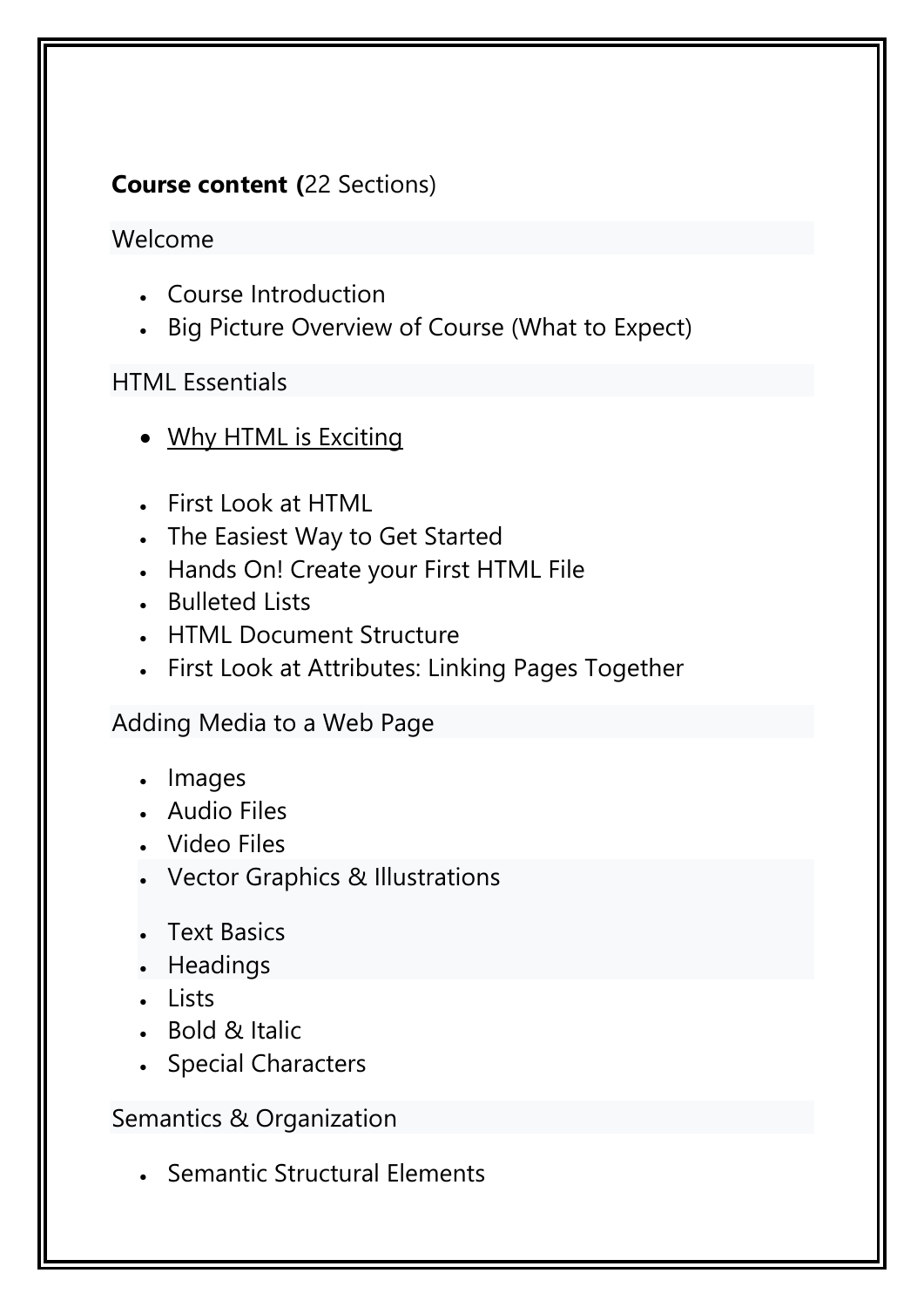## **Course content (**22 Sections)

#### Welcome

- Course Introduction
- Big Picture Overview of Course (What to Expect)

## HTML Essential[s](https://www.udemy.com/tutorial/web-design-for-beginners-real-world-coding-in-html-css/why-html-is-exciting/)

- Why HTML is [Exciting](https://www.udemy.com/tutorial/web-design-for-beginners-real-world-coding-in-html-css/why-html-is-exciting/)
- First Look at HTML
- The Easiest Way to Get Started
- Hands On! Create your First HTML File
- Bulleted Lists
- HTML Document Structure
- First Look at Attributes: Linking Pages Together

### Adding Media to a Web Page

- Images
- Audio Files
- Video Files
- Vector Graphics & Illustrations
- Text Basics
- Headings
- Lists
- . Bold & Italic
- Special Characters

Semantics & Organization

• Semantic Structural Elements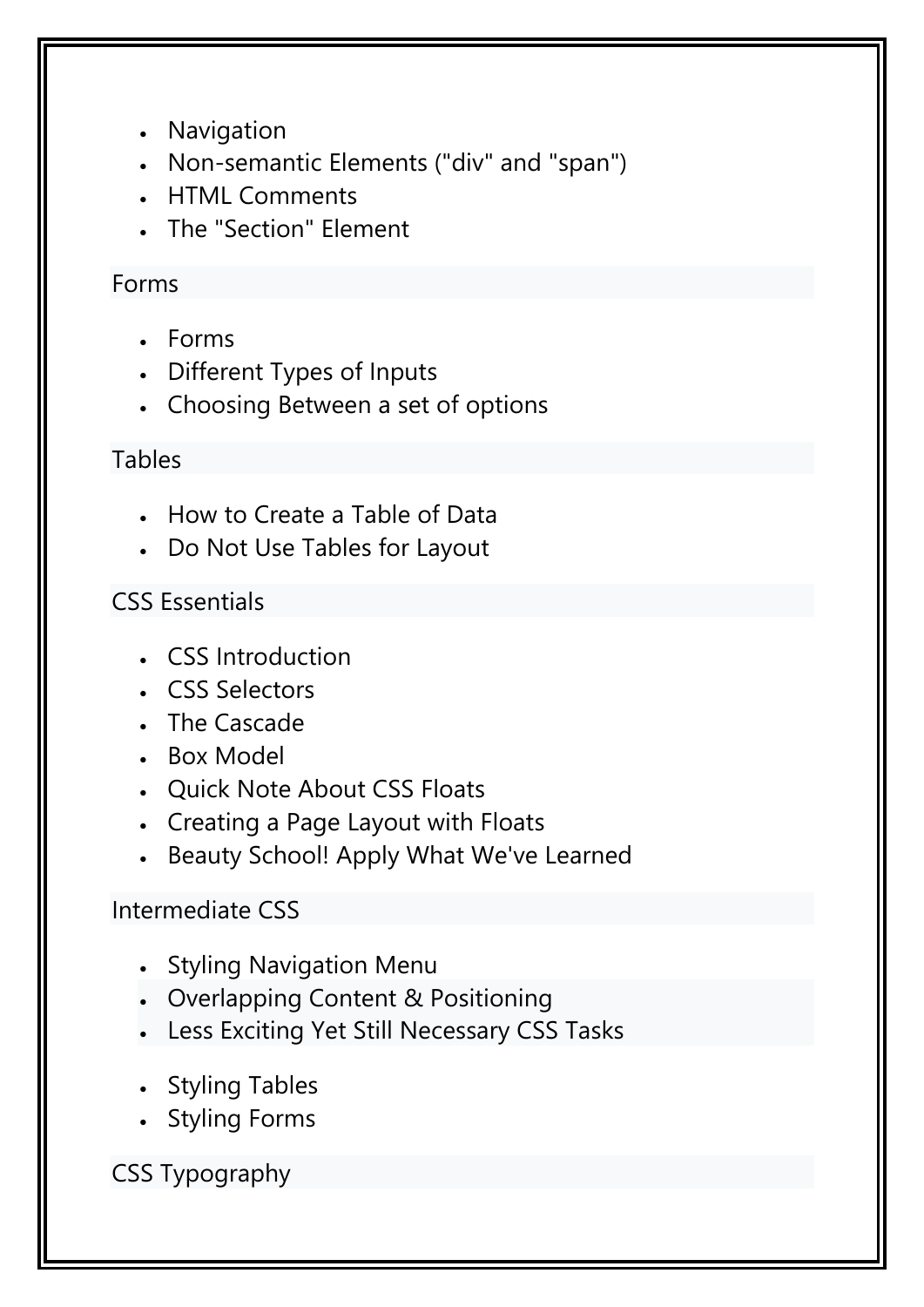- Navigation
- Non-semantic Elements ("div" and "span")
- HTML Comments
- The "Section" Element

### Forms

- Forms
- Different Types of Inputs
- Choosing Between a set of options

### Tables

- How to Create a Table of Data
- Do Not Use Tables for Layout

## CSS Essentials

- CSS Introduction
- CSS Selectors
- The Cascade
- Box Model
- Quick Note About CSS Floats
- Creating a Page Layout with Floats
- Beauty School! Apply What We've Learned

### Intermediate CSS

- Styling Navigation Menu
- Overlapping Content & Positioning
- Less Exciting Yet Still Necessary CSS Tasks
- Styling Tables
- Styling Forms

## CSS Typography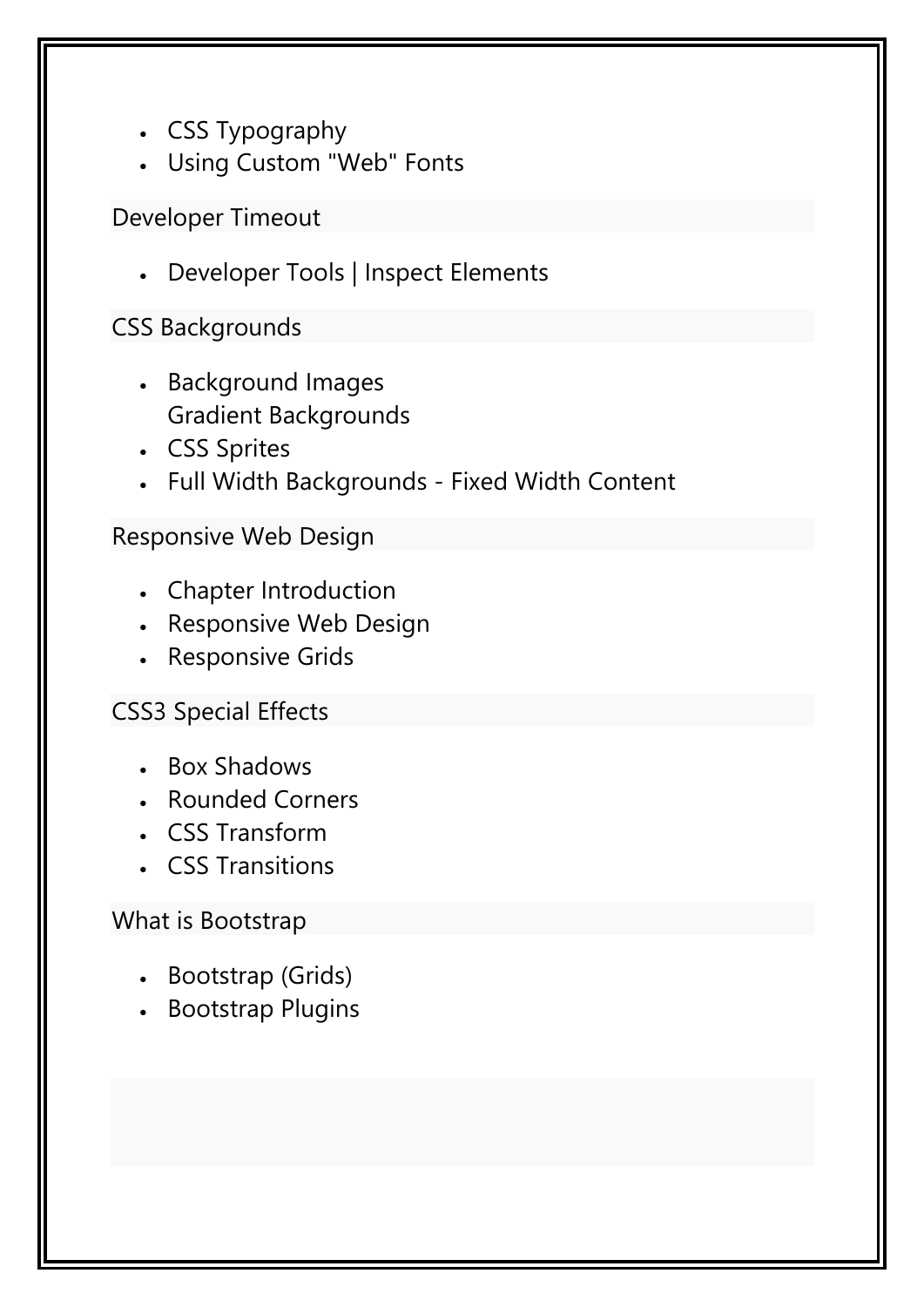- CSS Typography
- Using Custom "Web" Fonts

Developer Timeout

Developer Tools | Inspect Elements

## CSS Backgrounds

- [Background](https://www.udemy.com/tutorial/web-design-for-beginners-real-world-coding-in-html-css/background-images/) Images Gradient Backgrounds
- CSS Sprites
- Full Width Backgrounds Fixed Width Content

#### Responsive Web Design

- Chapter Introduction
- Responsive Web Design
- Responsive Grids

### CSS3 Special Effects

- Box Shadows
- Rounded Corners
- CSS Transform
- CSS Transitions

### What is Bootstrap

- Bootstrap (Grids)
- **Bootstrap Plugins**